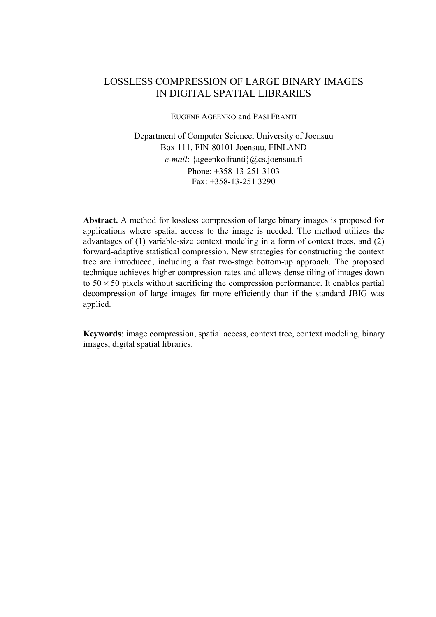# LOSSLESS COMPRESSION OF LARGE BINARY IMAGES IN DIGITAL SPATIAL LIBRARIES

EUGENE AGEENKO and PASI FRÄNTI

Department of Computer Science, University of Joensuu Box 111, FIN-80101 Joensuu, FINLAND *e-mail*: {ageenko|franti}@cs.joensuu.fi Phone: +358-13-251 3103  $Fax \div 358 - 13 - 2513290$ 

**Abstract.** A method for lossless compression of large binary images is proposed for applications where spatial access to the image is needed. The method utilizes the advantages of (1) variable-size context modeling in a form of context trees, and (2) forward-adaptive statistical compression. New strategies for constructing the context tree are introduced, including a fast two-stage bottom-up approach. The proposed technique achieves higher compression rates and allows dense tiling of images down to  $50 \times 50$  pixels without sacrificing the compression performance. It enables partial decompression of large images far more efficiently than if the standard JBIG was applied.

**Keywords**: image compression, spatial access, context tree, context modeling, binary images, digital spatial libraries.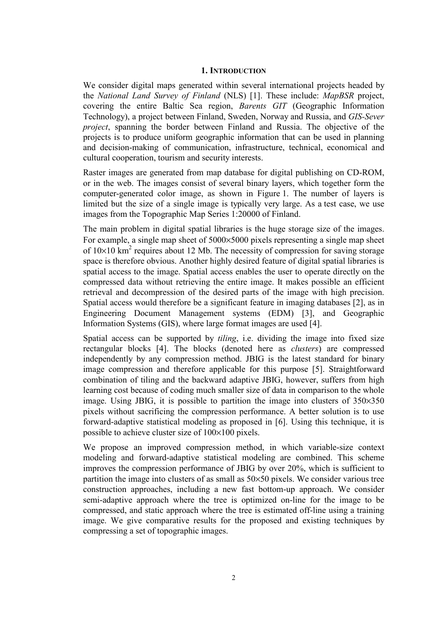### **1. INTRODUCTION**

We consider digital maps generated within several international projects headed by the *National Land Survey of Finland* (NLS) [1]. These include: *MapBSR* project, covering the entire Baltic Sea region, *Barents GIT* (Geographic Information Technology), a project between Finland, Sweden, Norway and Russia, and *GIS-Sever project*, spanning the border between Finland and Russia. The objective of the projects is to produce uniform geographic information that can be used in planning and decision-making of communication, infrastructure, technical, economical and cultural cooperation, tourism and security interests.

Raster images are generated from map database for digital publishing on CD-ROM, or in the web. The images consist of several binary layers, which together form the computer-generated color image, as shown in Figure 1. The number of layers is limited but the size of a single image is typically very large. As a test case, we use images from the Topographic Map Series 1:20000 of Finland.

The main problem in digital spatial libraries is the huge storage size of the images. For example, a single map sheet of 5000×5000 pixels representing a single map sheet of  $10\times10$  km<sup>2</sup> requires about 12 Mb. The necessity of compression for saving storage space is therefore obvious. Another highly desired feature of digital spatial libraries is spatial access to the image. Spatial access enables the user to operate directly on the compressed data without retrieving the entire image. It makes possible an efficient retrieval and decompression of the desired parts of the image with high precision. Spatial access would therefore be a significant feature in imaging databases [2], as in Engineering Document Management systems (EDM) [3], and Geographic Information Systems (GIS), where large format images are used [4].

Spatial access can be supported by *tiling*, i.e. dividing the image into fixed size rectangular blocks [4]. The blocks (denoted here as *clusters*) are compressed independently by any compression method. JBIG is the latest standard for binary image compression and therefore applicable for this purpose [5]. Straightforward combination of tiling and the backward adaptive JBIG, however, suffers from high learning cost because of coding much smaller size of data in comparison to the whole image. Using JBIG, it is possible to partition the image into clusters of 350×350 pixels without sacrificing the compression performance. A better solution is to use forward-adaptive statistical modeling as proposed in [6]. Using this technique, it is possible to achieve cluster size of 100×100 pixels.

We propose an improved compression method, in which variable-size context modeling and forward-adaptive statistical modeling are combined. This scheme improves the compression performance of JBIG by over 20%, which is sufficient to partition the image into clusters of as small as 50×50 pixels. We consider various tree construction approaches, including a new fast bottom-up approach. We consider semi-adaptive approach where the tree is optimized on-line for the image to be compressed, and static approach where the tree is estimated off-line using a training image. We give comparative results for the proposed and existing techniques by compressing a set of topographic images.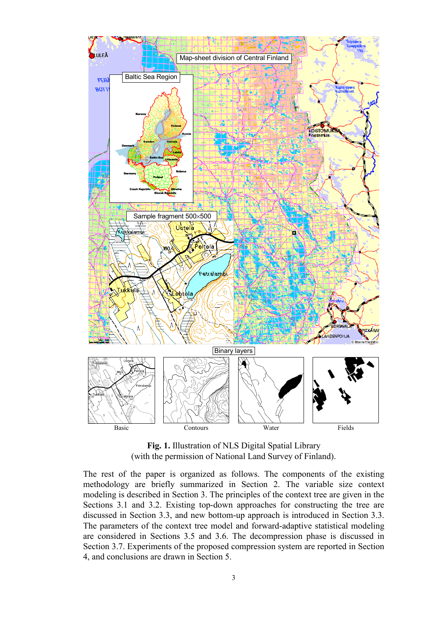

**Fig. 1.** Illustration of NLS Digital Spatial Library (with the permission of National Land Survey of Finland).

The rest of the paper is organized as follows. The components of the existing methodology are briefly summarized in Section 2. The variable size context modeling is described in Section 3. The principles of the context tree are given in the Sections 3.1 and 3.2. Existing top-down approaches for constructing the tree are discussed in Section 3.3, and new bottom-up approach is introduced in Section 3.3. The parameters of the context tree model and forward-adaptive statistical modeling are considered in Sections 3.5 and 3.6. The decompression phase is discussed in Section 3.7. Experiments of the proposed compression system are reported in Section 4, and conclusions are drawn in Section 5.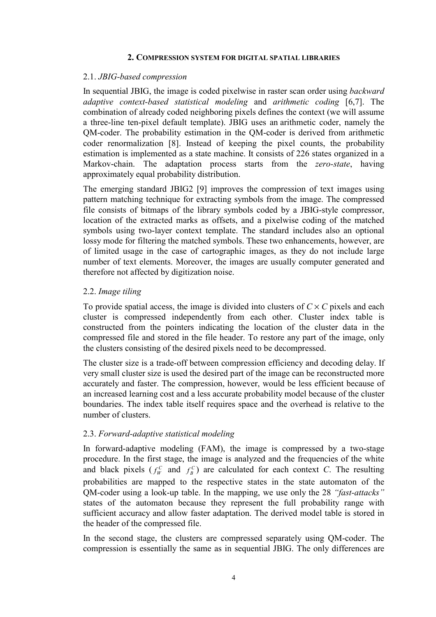#### **2. COMPRESSION SYSTEM FOR DIGITAL SPATIAL LIBRARIES**

### 2.1. *JBIG-based compression*

In sequential JBIG, the image is coded pixelwise in raster scan order using *backward adaptive context-based statistical modeling* and *arithmetic coding* [6,7]. The combination of already coded neighboring pixels defines the context (we will assume a three-line ten-pixel default template). JBIG uses an arithmetic coder, namely the QM-coder. The probability estimation in the QM-coder is derived from arithmetic coder renormalization [8]. Instead of keeping the pixel counts, the probability estimation is implemented as a state machine. It consists of 226 states organized in a Markov-chain. The adaptation process starts from the *zero-state*, having approximately equal probability distribution.

The emerging standard JBIG2 [9] improves the compression of text images using pattern matching technique for extracting symbols from the image. The compressed file consists of bitmaps of the library symbols coded by a JBIG-style compressor, location of the extracted marks as offsets, and a pixelwise coding of the matched symbols using two-layer context template. The standard includes also an optional lossy mode for filtering the matched symbols. These two enhancements, however, are of limited usage in the case of cartographic images, as they do not include large number of text elements. Moreover, the images are usually computer generated and therefore not affected by digitization noise.

# 2.2. *Image tiling*

To provide spatial access, the image is divided into clusters of  $C \times C$  pixels and each cluster is compressed independently from each other. Cluster index table is constructed from the pointers indicating the location of the cluster data in the compressed file and stored in the file header. To restore any part of the image, only the clusters consisting of the desired pixels need to be decompressed.

The cluster size is a trade-off between compression efficiency and decoding delay. If very small cluster size is used the desired part of the image can be reconstructed more accurately and faster. The compression, however, would be less efficient because of an increased learning cost and a less accurate probability model because of the cluster boundaries. The index table itself requires space and the overhead is relative to the number of clusters.

# 2.3. *Forward-adaptive statistical modeling*

In forward-adaptive modeling (FAM), the image is compressed by a two-stage procedure. In the first stage, the image is analyzed and the frequencies of the white and black pixels  $(f_W^C \text{ and } f_B^C)$  are calculated for each context *C*. The resulting probabilities are mapped to the respective states in the state automaton of the QM-coder using a look-up table. In the mapping, we use only the 28 *"fast-attacks"* states of the automaton because they represent the full probability range with sufficient accuracy and allow faster adaptation. The derived model table is stored in the header of the compressed file.

In the second stage, the clusters are compressed separately using QM-coder. The compression is essentially the same as in sequential JBIG. The only differences are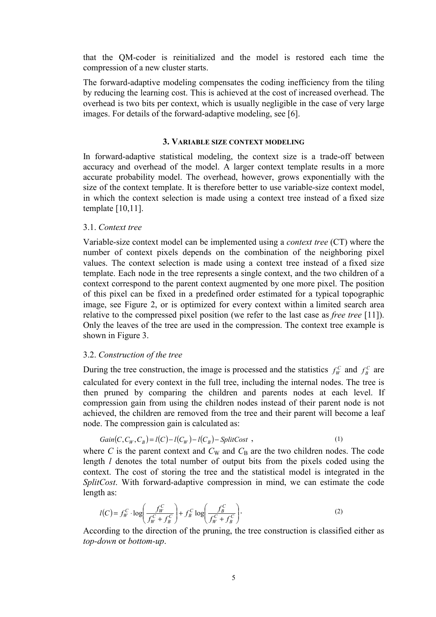that the QM-coder is reinitialized and the model is restored each time the compression of a new cluster starts.

The forward-adaptive modeling compensates the coding inefficiency from the tiling by reducing the learning cost. This is achieved at the cost of increased overhead. The overhead is two bits per context, which is usually negligible in the case of very large images. For details of the forward-adaptive modeling, see [6].

### **3. VARIABLE SIZE CONTEXT MODELING**

In forward-adaptive statistical modeling, the context size is a trade-off between accuracy and overhead of the model. A larger context template results in a more accurate probability model. The overhead, however, grows exponentially with the size of the context template. It is therefore better to use variable-size context model, in which the context selection is made using a context tree instead of a fixed size template [10,11].

### 3.1. *Context tree*

Variable-size context model can be implemented using a *context tree* (CT) where the number of context pixels depends on the combination of the neighboring pixel values. The context selection is made using a context tree instead of a fixed size template. Each node in the tree represents a single context, and the two children of a context correspond to the parent context augmented by one more pixel. The position of this pixel can be fixed in a predefined order estimated for a typical topographic image, see Figure 2, or is optimized for every context within a limited search area relative to the compressed pixel position (we refer to the last case as *free tree* [11]). Only the leaves of the tree are used in the compression. The context tree example is shown in Figure 3.

### 3.2. *Construction of the tree*

During the tree construction, the image is processed and the statistics  $f_W^C$  and  $f_B^C$  are calculated for every context in the full tree, including the internal nodes. The tree is then pruned by comparing the children and parents nodes at each level. If compression gain from using the children nodes instead of their parent node is not achieved, the children are removed from the tree and their parent will become a leaf node. The compression gain is calculated as:

$$
Gain(C, C_W, C_B) = l(C) - l(C_W) - l(C_B) - SplitCost ,
$$
\n<sup>(1)</sup>

where *C* is the parent context and  $C_W$  and  $C_B$  are the two children nodes. The code length *l* denotes the total number of output bits from the pixels coded using the context. The cost of storing the tree and the statistical model is integrated in the *SplitCost*. With forward-adaptive compression in mind, we can estimate the code length as:

$$
l(C) = f_W^C \cdot \log\left(\frac{f_W^C}{f_W^C + f_B^C}\right) + f_B^C \log\left(\frac{f_B^C}{f_W^C + f_B^C}\right). \tag{2}
$$

According to the direction of the pruning, the tree construction is classified either as *top-down* or *bottom-up*.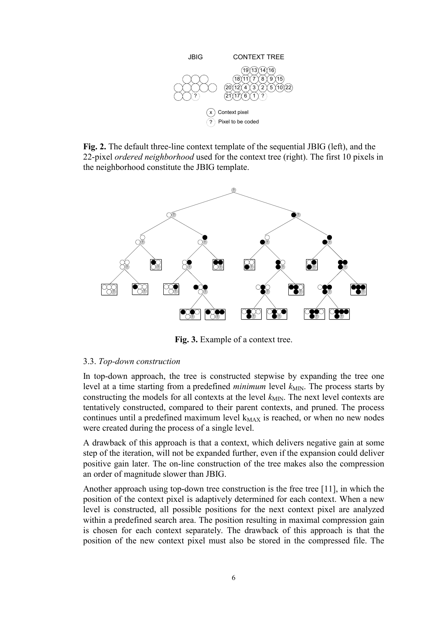

**Fig. 2.** The default three-line context template of the sequential JBIG (left), and the 22-pixel *ordered neighborhood* used for the context tree (right). The first 10 pixels in the neighborhood constitute the JBIG template.



**Fig. 3.** Example of a context tree.

# 3.3. *Top-down construction*

In top-down approach, the tree is constructed stepwise by expanding the tree one level at a time starting from a predefined *minimum* level  $k_{\text{MIN}}$ . The process starts by constructing the models for all contexts at the level  $k_{MIN}$ . The next level contexts are tentatively constructed, compared to their parent contexts, and pruned. The process continues until a predefined maximum level  $k_{MAX}$  is reached, or when no new nodes were created during the process of a single level.

A drawback of this approach is that a context, which delivers negative gain at some step of the iteration, will not be expanded further, even if the expansion could deliver positive gain later. The on-line construction of the tree makes also the compression an order of magnitude slower than JBIG.

Another approach using top-down tree construction is the free tree [11], in which the position of the context pixel is adaptively determined for each context. When a new level is constructed, all possible positions for the next context pixel are analyzed within a predefined search area. The position resulting in maximal compression gain is chosen for each context separately. The drawback of this approach is that the position of the new context pixel must also be stored in the compressed file. The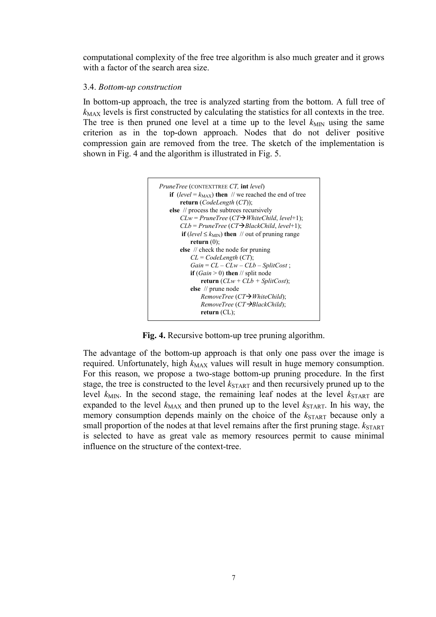computational complexity of the free tree algorithm is also much greater and it grows with a factor of the search area size.

# 3.4. *Bottom-up construction*

In bottom-up approach, the tree is analyzed starting from the bottom. A full tree of  $k_{MAX}$  levels is first constructed by calculating the statistics for all contexts in the tree. The tree is then pruned one level at a time up to the level  $k_{MIN}$  using the same criterion as in the top-down approach. Nodes that do not deliver positive compression gain are removed from the tree. The sketch of the implementation is shown in Fig. 4 and the algorithm is illustrated in Fig. 5.



**Fig. 4.** Recursive bottom-up tree pruning algorithm.

The advantage of the bottom-up approach is that only one pass over the image is required. Unfortunately, high  $k_{MAX}$  values will result in huge memory consumption. For this reason, we propose a two-stage bottom-up pruning procedure. In the first stage, the tree is constructed to the level  $k_{\text{START}}$  and then recursively pruned up to the level  $k_{\text{MIN}}$ . In the second stage, the remaining leaf nodes at the level  $k_{\text{STAT}}$  are expanded to the level  $k_{MAX}$  and then pruned up to the level  $k_{STATE}$ . In his way, the memory consumption depends mainly on the choice of the  $k_{\text{START}}$  because only a small proportion of the nodes at that level remains after the first pruning stage.  $k_{\text{START}}$ is selected to have as great vale as memory resources permit to cause minimal influence on the structure of the context-tree.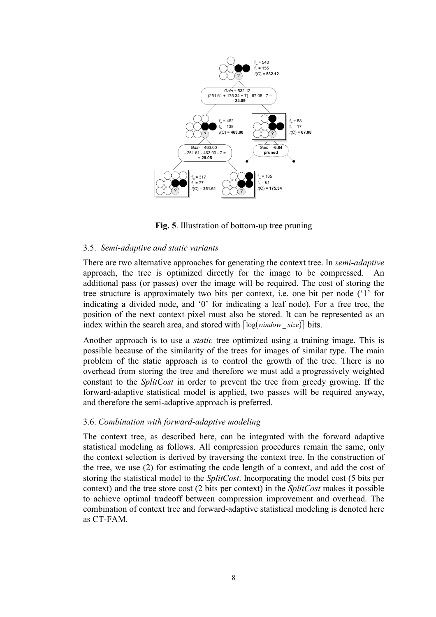

**Fig. 5**. Illustration of bottom-up tree pruning

# 3.5. *Semi-adaptive and static variants*

There are two alternative approaches for generating the context tree. In *semi-adaptive* approach, the tree is optimized directly for the image to be compressed. An additional pass (or passes) over the image will be required. The cost of storing the tree structure is approximately two bits per context, i.e. one bit per node ('1' for indicating a divided node, and '0' for indicating a leaf node). For a free tree, the position of the next context pixel must also be stored. It can be represented as an index within the search area, and stored with  $\lceil log(window \; size) \rceil$  bits.

Another approach is to use a *static* tree optimized using a training image. This is possible because of the similarity of the trees for images of similar type. The main problem of the static approach is to control the growth of the tree. There is no overhead from storing the tree and therefore we must add a progressively weighted constant to the *SplitCost* in order to prevent the tree from greedy growing. If the forward-adaptive statistical model is applied, two passes will be required anyway, and therefore the semi-adaptive approach is preferred.

# 3.6. *Combination with forward-adaptive modeling*

The context tree, as described here, can be integrated with the forward adaptive statistical modeling as follows. All compression procedures remain the same, only the context selection is derived by traversing the context tree. In the construction of the tree, we use (2) for estimating the code length of a context, and add the cost of storing the statistical model to the *SplitCost*. Incorporating the model cost (5 bits per context) and the tree store cost (2 bits per context) in the *SplitCost* makes it possible to achieve optimal tradeoff between compression improvement and overhead. The combination of context tree and forward-adaptive statistical modeling is denoted here as CT-FAM.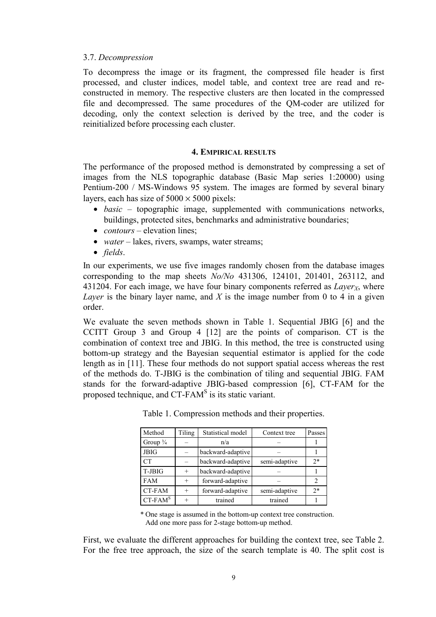### 3.7. *Decompression*

To decompress the image or its fragment, the compressed file header is first processed, and cluster indices, model table, and context tree are read and reconstructed in memory. The respective clusters are then located in the compressed file and decompressed. The same procedures of the QM-coder are utilized for decoding, only the context selection is derived by the tree, and the coder is reinitialized before processing each cluster.

### **4. EMPIRICAL RESULTS**

The performance of the proposed method is demonstrated by compressing a set of images from the NLS topographic database (Basic Map series 1:20000) using Pentium-200 / MS-Windows 95 system. The images are formed by several binary layers, each has size of  $5000 \times 5000$  pixels:

- *basic* topographic image, supplemented with communications networks, buildings, protected sites, benchmarks and administrative boundaries;
- *contours* elevation lines:
- *water* lakes, rivers, swamps, water streams;
- *fields*.

In our experiments, we use five images randomly chosen from the database images corresponding to the map sheets *No/No* 431306, 124101, 201401, 263112, and 431204. For each image, we have four binary components referred as  $Layer_X$ , where *Layer* is the binary layer name, and *X* is the image number from 0 to 4 in a given order.

We evaluate the seven methods shown in Table 1. Sequential JBIG [6] and the CCITT Group 3 and Group 4 [12] are the points of comparison. CT is the combination of context tree and JBIG. In this method, the tree is constructed using bottom-up strategy and the Bayesian sequential estimator is applied for the code length as in [11]. These four methods do not support spatial access whereas the rest of the methods do. T-JBIG is the combination of tiling and sequential JBIG. FAM stands for the forward-adaptive JBIG-based compression [6], CT-FAM for the proposed technique, and CT-FAM<sup>S</sup> is its static variant.

| Method              | Tiling | Statistical model | Context tree  | Passes         |
|---------------------|--------|-------------------|---------------|----------------|
| Group $\frac{3}{4}$ |        | n/a               |               |                |
| <b>JBIG</b>         |        | backward-adaptive |               |                |
| CT                  |        | backward-adaptive | semi-adaptive | $2*$           |
| T-JBIG              | $+$    | backward-adaptive |               |                |
| <b>FAM</b>          | $+$    | forward-adaptive  |               | $\overline{2}$ |
| CT-FAM              | $+$    | forward-adaptive  | semi-adaptive | $2*$           |
| $CT$ -FAM $S$       |        | trained           | trained       |                |

Table 1. Compression methods and their properties.

\* One stage is assumed in the bottom-up context tree construction. Add one more pass for 2-stage bottom-up method.

First, we evaluate the different approaches for building the context tree, see Table 2. For the free tree approach, the size of the search template is 40. The split cost is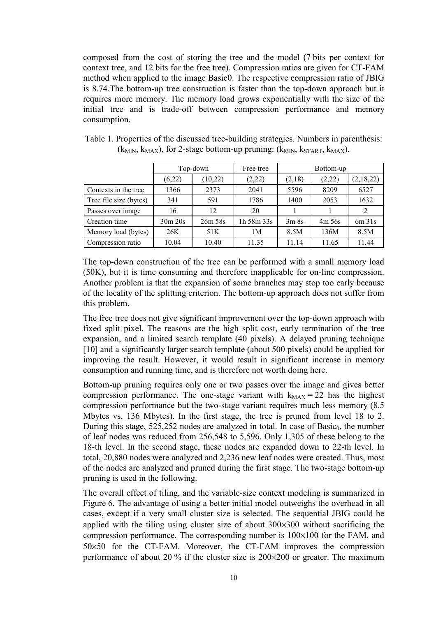composed from the cost of storing the tree and the model (7 bits per context for context tree, and 12 bits for the free tree). Compression ratios are given for CT-FAM method when applied to the image Basic0. The respective compression ratio of JBIG is 8.74.The bottom-up tree construction is faster than the top-down approach but it requires more memory. The memory load grows exponentially with the size of the initial tree and is trade-off between compression performance and memory consumption.

|                        | Top-down |         | Free tree  | Bottom-up |           |           |  |
|------------------------|----------|---------|------------|-----------|-----------|-----------|--|
|                        | (6,22)   | (10,22) | (2,22)     | (2,18)    | (2,22)    | (2,18,22) |  |
| Contexts in the tree   | 1366     | 2373    | 2041       | 5596      | 8209      | 6527      |  |
| Tree file size (bytes) | 341      | 591     | 1786       | 1400      | 2053      | 1632      |  |
| Passes over image      | 16       | 12      | 20         |           |           | 2         |  |
| Creation time          | 30m 20s  | 26m 58s | 1h 58m 33s | 3m8s      | $4m\,56s$ | 6m 31s    |  |
| Memory load (bytes)    | 26K      | 51K     | 1M         | 8.5M      | 136M      | 8.5M      |  |
| Compression ratio      | 10.04    | 10.40   | 11.35      | 11.14     | 11.65     | 11.44     |  |

| Table 1. Properties of the discussed tree-building strategies. Numbers in parenthesis:  |
|-----------------------------------------------------------------------------------------|
| $(k_{MIN}, k_{MAX})$ , for 2-stage bottom-up pruning: $(k_{MIN}, k_{START}, k_{MAX})$ . |

The top-down construction of the tree can be performed with a small memory load (50K), but it is time consuming and therefore inapplicable for on-line compression. Another problem is that the expansion of some branches may stop too early because of the locality of the splitting criterion. The bottom-up approach does not suffer from this problem.

The free tree does not give significant improvement over the top-down approach with fixed split pixel. The reasons are the high split cost, early termination of the tree expansion, and a limited search template (40 pixels). A delayed pruning technique [10] and a significantly larger search template (about 500 pixels) could be applied for improving the result. However, it would result in significant increase in memory consumption and running time, and is therefore not worth doing here.

Bottom-up pruning requires only one or two passes over the image and gives better compression performance. The one-stage variant with  $k_{MAX} = 22$  has the highest compression performance but the two-stage variant requires much less memory (8.5 Mbytes vs. 136 Mbytes). In the first stage, the tree is pruned from level 18 to 2. During this stage,  $525,252$  nodes are analyzed in total. In case of Basic<sub>0</sub>, the number of leaf nodes was reduced from 256,548 to 5,596. Only 1,305 of these belong to the 18-th level. In the second stage, these nodes are expanded down to 22-th level. In total, 20,880 nodes were analyzed and 2,236 new leaf nodes were created. Thus, most of the nodes are analyzed and pruned during the first stage. The two-stage bottom-up pruning is used in the following.

The overall effect of tiling, and the variable-size context modeling is summarized in Figure 6. The advantage of using a better initial model outweighs the overhead in all cases, except if a very small cluster size is selected. The sequential JBIG could be applied with the tiling using cluster size of about 300×300 without sacrificing the compression performance. The corresponding number is 100×100 for the FAM, and 50×50 for the CT-FAM. Moreover, the CT-FAM improves the compression performance of about 20 % if the cluster size is 200×200 or greater. The maximum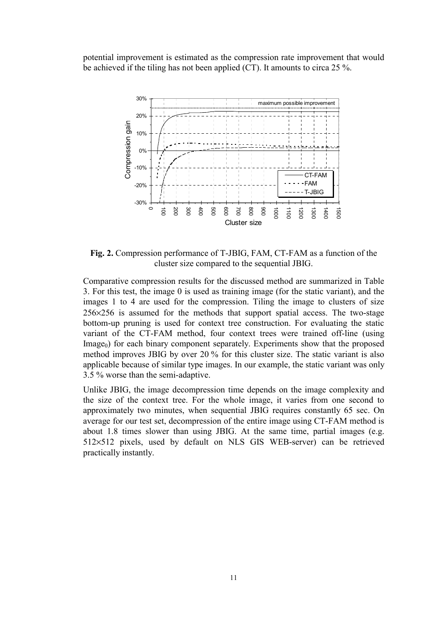potential improvement is estimated as the compression rate improvement that would be achieved if the tiling has not been applied (CT). It amounts to circa 25 %.



**Fig. 2.** Compression performance of T-JBIG, FAM, CT-FAM as a function of the cluster size compared to the sequential JBIG.

Comparative compression results for the discussed method are summarized in Table 3. For this test, the image 0 is used as training image (for the static variant), and the images 1 to 4 are used for the compression. Tiling the image to clusters of size 256×256 is assumed for the methods that support spatial access. The two-stage bottom-up pruning is used for context tree construction. For evaluating the static variant of the CT-FAM method, four context trees were trained off-line (using  $\langle I_{\text{image}_0} \rangle$  for each binary component separately. Experiments show that the proposed method improves JBIG by over 20 % for this cluster size. The static variant is also applicable because of similar type images. In our example, the static variant was only 3.5 % worse than the semi-adaptive.

Unlike JBIG, the image decompression time depends on the image complexity and the size of the context tree. For the whole image, it varies from one second to approximately two minutes, when sequential JBIG requires constantly 65 sec. On average for our test set, decompression of the entire image using CT-FAM method is about 1.8 times slower than using JBIG. At the same time, partial images (e.g. 512×512 pixels, used by default on NLS GIS WEB-server) can be retrieved practically instantly.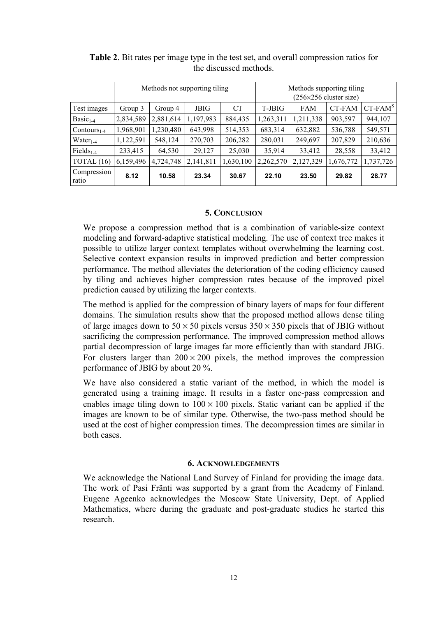|                      | Methods not supporting tiling |           |             |           | Methods supporting tiling<br>$(256\times256$ cluster size) |            |           |               |
|----------------------|-------------------------------|-----------|-------------|-----------|------------------------------------------------------------|------------|-----------|---------------|
| Test images          | Group 3                       | Group 4   | <b>JBIG</b> | <b>CT</b> | T-JBIG                                                     | <b>FAM</b> | CT-FAM    | $CT$ -FAM $S$ |
| $Basic1-4$           | 2,834,589                     | 2,881,614 | 1,197,983   | 884,435   | 1,263,311                                                  | 1,211,338  | 903,597   | 944,107       |
| $Contours_{1.4}$     | 1,968,901                     | 1,230,480 | 643,998     | 514,353   | 683,314                                                    | 632,882    | 536,788   | 549,571       |
| $Water_{1-4}$        | 1,122,591                     | 548,124   | 270,703     | 206,282   | 280,031                                                    | 249,697    | 207,829   | 210,636       |
| $Fields_{1.4}$       | 233,415                       | 64,530    | 29,127      | 25,030    | 35,914                                                     | 33,412     | 28,558    | 33,412        |
| TOTAL $(16)$         | 6,159,496                     | 4,724,748 | 2,141,811   | 1,630,100 | 2,262,570                                                  | 2,127,329  | 1,676,772 | 1,737,726     |
| Compression<br>ratio | 8.12                          | 10.58     | 23.34       | 30.67     | 22.10                                                      | 23.50      | 29.82     | 28.77         |

**Table 2**. Bit rates per image type in the test set, and overall compression ratios for the discussed methods.

# **5. CONCLUSION**

We propose a compression method that is a combination of variable-size context modeling and forward-adaptive statistical modeling. The use of context tree makes it possible to utilize larger context templates without overwhelming the learning cost. Selective context expansion results in improved prediction and better compression performance. The method alleviates the deterioration of the coding efficiency caused by tiling and achieves higher compression rates because of the improved pixel prediction caused by utilizing the larger contexts.

The method is applied for the compression of binary layers of maps for four different domains. The simulation results show that the proposed method allows dense tiling of large images down to  $50 \times 50$  pixels versus  $350 \times 350$  pixels that of JBIG without sacrificing the compression performance. The improved compression method allows partial decompression of large images far more efficiently than with standard JBIG. For clusters larger than  $200 \times 200$  pixels, the method improves the compression performance of JBIG by about 20 %.

We have also considered a static variant of the method, in which the model is generated using a training image. It results in a faster one-pass compression and enables image tiling down to  $100 \times 100$  pixels. Static variant can be applied if the images are known to be of similar type. Otherwise, the two-pass method should be used at the cost of higher compression times. The decompression times are similar in both cases.

### **6. ACKNOWLEDGEMENTS**

We acknowledge the National Land Survey of Finland for providing the image data. The work of Pasi Fränti was supported by a grant from the Academy of Finland. Eugene Ageenko acknowledges the Moscow State University, Dept. of Applied Mathematics, where during the graduate and post-graduate studies he started this research.